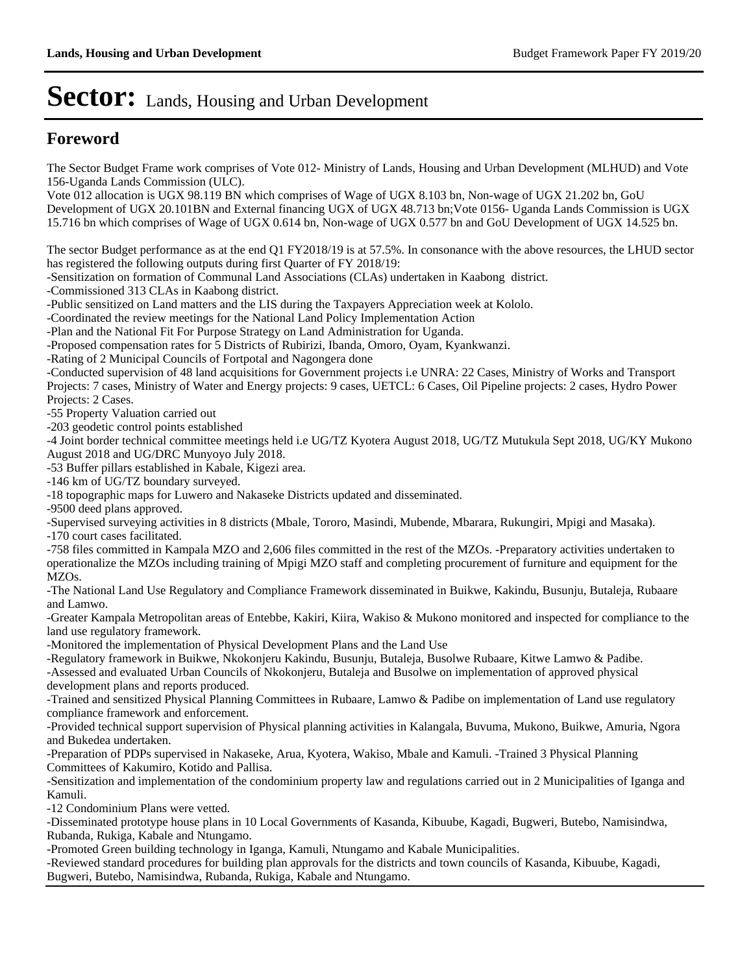### **Foreword**

The Sector Budget Frame work comprises of Vote 012- Ministry of Lands, Housing and Urban Development (MLHUD) and Vote 156-Uganda Lands Commission (ULC).

Vote 012 allocation is UGX 98.119 BN which comprises of Wage of UGX 8.103 bn, Non-wage of UGX 21.202 bn, GoU Development of UGX 20.101BN and External financing UGX of UGX 48.713 bn;Vote 0156- Uganda Lands Commission is UGX 15.716 bn which comprises of Wage of UGX 0.614 bn, Non-wage of UGX 0.577 bn and GoU Development of UGX 14.525 bn.

The sector Budget performance as at the end Q1 FY2018/19 is at 57.5%. In consonance with the above resources, the LHUD sector has registered the following outputs during first Quarter of FY 2018/19:

-Sensitization on formation of Communal Land Associations (CLAs) undertaken in Kaabong district.

-Commissioned 313 CLAs in Kaabong district.

-Public sensitized on Land matters and the LIS during the Taxpayers Appreciation week at Kololo.

-Coordinated the review meetings for the National Land Policy Implementation Action

-Plan and the National Fit For Purpose Strategy on Land Administration for Uganda.

-Proposed compensation rates for 5 Districts of Rubirizi, Ibanda, Omoro, Oyam, Kyankwanzi.

-Rating of 2 Municipal Councils of Fortpotal and Nagongera done

-Conducted supervision of 48 land acquisitions for Government projects i.e UNRA: 22 Cases, Ministry of Works and Transport Projects: 7 cases, Ministry of Water and Energy projects: 9 cases, UETCL: 6 Cases, Oil Pipeline projects: 2 cases, Hydro Power Projects: 2 Cases.

-55 Property Valuation carried out

-203 geodetic control points established

-4 Joint border technical committee meetings held i.e UG/TZ Kyotera August 2018, UG/TZ Mutukula Sept 2018, UG/KY Mukono August 2018 and UG/DRC Munyoyo July 2018.

-53 Buffer pillars established in Kabale, Kigezi area.

-146 km of UG/TZ boundary surveyed.

-18 topographic maps for Luwero and Nakaseke Districts updated and disseminated.

-9500 deed plans approved.

-Supervised surveying activities in 8 districts (Mbale, Tororo, Masindi, Mubende, Mbarara, Rukungiri, Mpigi and Masaka).

-170 court cases facilitated.

-758 files committed in Kampala MZO and 2,606 files committed in the rest of the MZOs. -Preparatory activities undertaken to operationalize the MZOs including training of Mpigi MZO staff and completing procurement of furniture and equipment for the MZOs.

-The National Land Use Regulatory and Compliance Framework disseminated in Buikwe, Kakindu, Busunju, Butaleja, Rubaare and Lamwo.

-Greater Kampala Metropolitan areas of Entebbe, Kakiri, Kiira, Wakiso & Mukono monitored and inspected for compliance to the land use regulatory framework.

-Monitored the implementation of Physical Development Plans and the Land Use

-Regulatory framework in Buikwe, Nkokonjeru Kakindu, Busunju, Butaleja, Busolwe Rubaare, Kitwe Lamwo & Padibe.

-Assessed and evaluated Urban Councils of Nkokonjeru, Butaleja and Busolwe on implementation of approved physical development plans and reports produced.

-Trained and sensitized Physical Planning Committees in Rubaare, Lamwo & Padibe on implementation of Land use regulatory compliance framework and enforcement.

-Provided technical support supervision of Physical planning activities in Kalangala, Buvuma, Mukono, Buikwe, Amuria, Ngora and Bukedea undertaken.

-Preparation of PDPs supervised in Nakaseke, Arua, Kyotera, Wakiso, Mbale and Kamuli. -Trained 3 Physical Planning Committees of Kakumiro, Kotido and Pallisa.

-Sensitization and implementation of the condominium property law and regulations carried out in 2 Municipalities of Iganga and Kamuli.

-12 Condominium Plans were vetted.

-Disseminated prototype house plans in 10 Local Governments of Kasanda, Kibuube, Kagadi, Bugweri, Butebo, Namisindwa, Rubanda, Rukiga, Kabale and Ntungamo.

-Promoted Green building technology in Iganga, Kamuli, Ntungamo and Kabale Municipalities.

-Reviewed standard procedures for building plan approvals for the districts and town councils of Kasanda, Kibuube, Kagadi, Bugweri, Butebo, Namisindwa, Rubanda, Rukiga, Kabale and Ntungamo.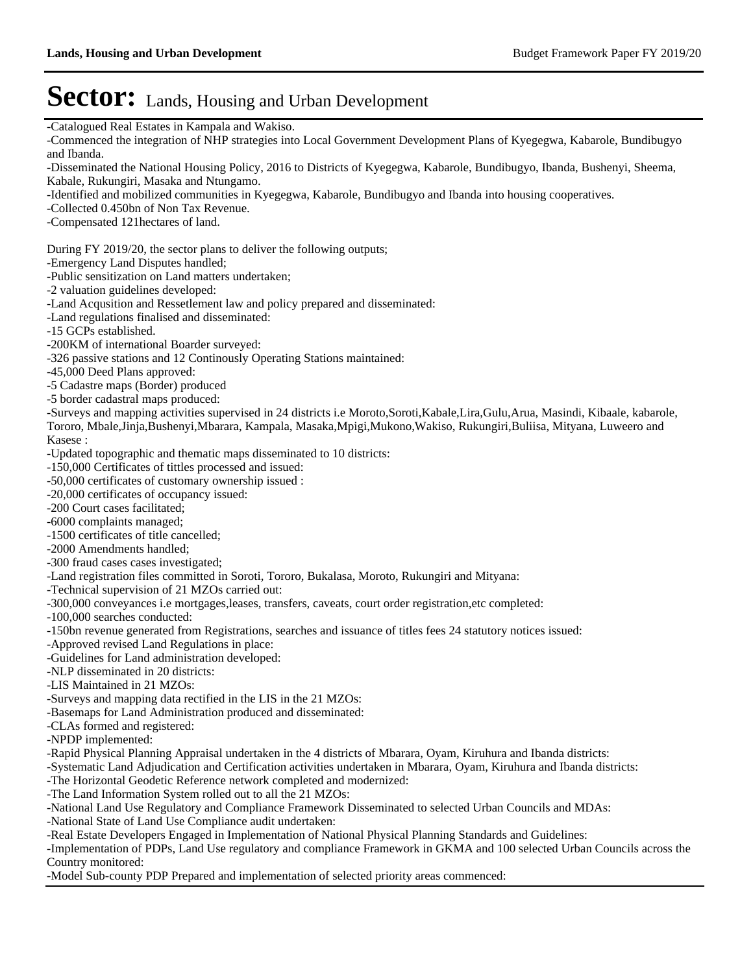| -Catalogued Real Estates in Kampala and Wakiso.                                                                                                            |
|------------------------------------------------------------------------------------------------------------------------------------------------------------|
| -Commenced the integration of NHP strategies into Local Government Development Plans of Kyegegwa, Kabarole, Bundibugyo                                     |
| and Ibanda.                                                                                                                                                |
| -Disseminated the National Housing Policy, 2016 to Districts of Kyegegwa, Kabarole, Bundibugyo, Ibanda, Bushenyi, Sheema,                                  |
| Kabale, Rukungiri, Masaka and Ntungamo.                                                                                                                    |
| -Identified and mobilized communities in Kyegegwa, Kabarole, Bundibugyo and Ibanda into housing cooperatives.                                              |
| -Collected 0.450bn of Non Tax Revenue.                                                                                                                     |
| -Compensated 121 hectares of land.                                                                                                                         |
|                                                                                                                                                            |
| During FY 2019/20, the sector plans to deliver the following outputs;<br>-Emergency Land Disputes handled;                                                 |
| -Public sensitization on Land matters undertaken;                                                                                                          |
| -2 valuation guidelines developed:                                                                                                                         |
| -Land Acqusition and Ressetlement law and policy prepared and disseminated:                                                                                |
| -Land regulations finalised and disseminated:                                                                                                              |
| -15 GCPs established.                                                                                                                                      |
| -200KM of international Boarder surveyed:                                                                                                                  |
| -326 passive stations and 12 Continously Operating Stations maintained:                                                                                    |
| -45,000 Deed Plans approved:                                                                                                                               |
| -5 Cadastre maps (Border) produced                                                                                                                         |
| -5 border cadastral maps produced:                                                                                                                         |
| -Surveys and mapping activities supervised in 24 districts i.e Moroto, Soroti, Kabale, Lira, Gulu, Arua, Masindi, Kibaale, kabarole,                       |
| Tororo, Mbale, Jinja, Bushenyi, Mbarara, Kampala, Masaka, Mpigi, Mukono, Wakiso, Rukungiri, Buliisa, Mityana, Luweero and                                  |
| Kasese:                                                                                                                                                    |
| -Updated topographic and thematic maps disseminated to 10 districts:                                                                                       |
| -150,000 Certificates of tittles processed and issued:                                                                                                     |
| -50,000 certificates of customary ownership issued :                                                                                                       |
| -20,000 certificates of occupancy issued:                                                                                                                  |
| -200 Court cases facilitated;                                                                                                                              |
| -6000 complaints managed;                                                                                                                                  |
| -1500 certificates of title cancelled;                                                                                                                     |
| -2000 Amendments handled;                                                                                                                                  |
| -300 fraud cases cases investigated;                                                                                                                       |
| -Land registration files committed in Soroti, Tororo, Bukalasa, Moroto, Rukungiri and Mityana:                                                             |
| -Technical supervision of 21 MZOs carried out:<br>-300,000 conveyances i.e mortgages, leases, transfers, caveats, court order registration, etc completed: |
| -100,000 searches conducted:                                                                                                                               |
| -150bn revenue generated from Registrations, searches and issuance of titles fees 24 statutory notices issued:                                             |
| -Approved revised Land Regulations in place:                                                                                                               |
| -Guidelines for Land administration developed:                                                                                                             |
| -NLP disseminated in 20 districts:                                                                                                                         |
| -LIS Maintained in 21 MZOs:                                                                                                                                |
| -Surveys and mapping data rectified in the LIS in the 21 MZOs:                                                                                             |
| -Basemaps for Land Administration produced and disseminated:                                                                                               |
| -CLAs formed and registered:                                                                                                                               |
| -NPDP implemented:                                                                                                                                         |
| -Rapid Physical Planning Appraisal undertaken in the 4 districts of Mbarara, Oyam, Kiruhura and Ibanda districts:                                          |
| -Systematic Land Adjudication and Certification activities undertaken in Mbarara, Oyam, Kiruhura and Ibanda districts:                                     |
| -The Horizontal Geodetic Reference network completed and modernized:                                                                                       |
| -The Land Information System rolled out to all the 21 MZOs:                                                                                                |
| -National Land Use Regulatory and Compliance Framework Disseminated to selected Urban Councils and MDAs:                                                   |
| -National State of Land Use Compliance audit undertaken:                                                                                                   |
| -Real Estate Developers Engaged in Implementation of National Physical Planning Standards and Guidelines:                                                  |
| -Implementation of PDPs, Land Use regulatory and compliance Framework in GKMA and 100 selected Urban Councils across the                                   |
| Country monitored:                                                                                                                                         |
| -Model Sub-county PDP Prepared and implementation of selected priority areas commenced:                                                                    |
|                                                                                                                                                            |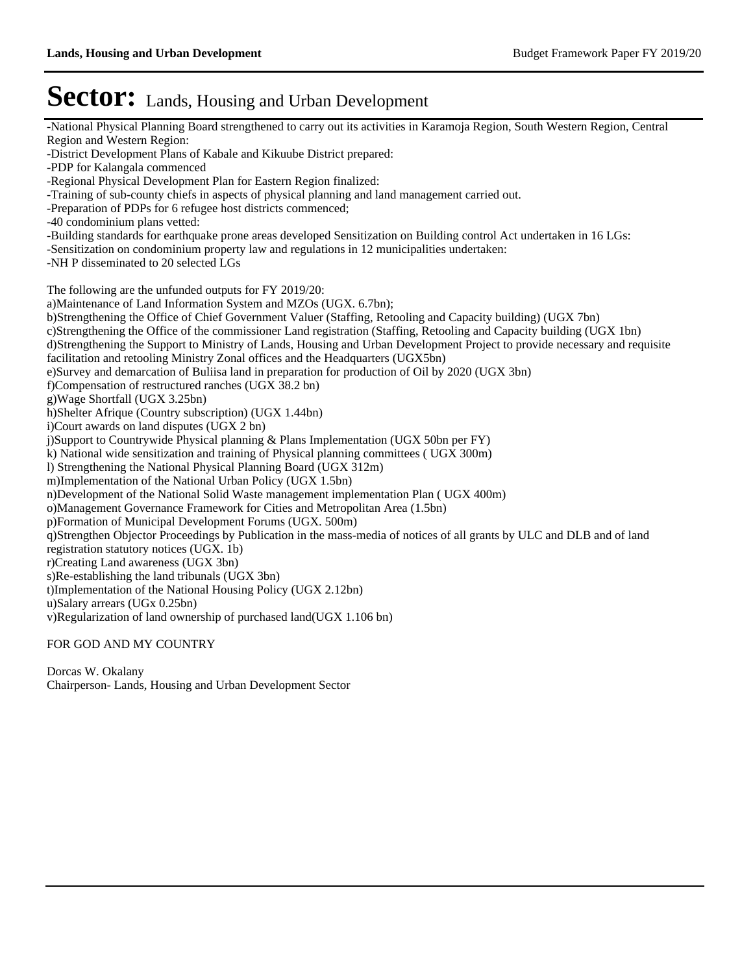-National Physical Planning Board strengthened to carry out its activities in Karamoja Region, South Western Region, Central Region and Western Region: -District Development Plans of Kabale and Kikuube District prepared: -PDP for Kalangala commenced -Regional Physical Development Plan for Eastern Region finalized: -Training of sub-county chiefs in aspects of physical planning and land management carried out. -Preparation of PDPs for 6 refugee host districts commenced; -40 condominium plans vetted: -Building standards for earthquake prone areas developed Sensitization on Building control Act undertaken in 16 LGs: -Sensitization on condominium property law and regulations in 12 municipalities undertaken: -NH P disseminated to 20 selected LGs The following are the unfunded outputs for FY 2019/20: a)Maintenance of Land Information System and MZOs (UGX. 6.7bn); b)Strengthening the Office of Chief Government Valuer (Staffing, Retooling and Capacity building) (UGX 7bn) c)Strengthening the Office of the commissioner Land registration (Staffing, Retooling and Capacity building (UGX 1bn) d)Strengthening the Support to Ministry of Lands, Housing and Urban Development Project to provide necessary and requisite facilitation and retooling Ministry Zonal offices and the Headquarters (UGX5bn) e)Survey and demarcation of Buliisa land in preparation for production of Oil by 2020 (UGX 3bn) f)Compensation of restructured ranches (UGX 38.2 bn) g)Wage Shortfall (UGX 3.25bn) h)Shelter Afrique (Country subscription) (UGX 1.44bn) i)Court awards on land disputes (UGX 2 bn) j)Support to Countrywide Physical planning & Plans Implementation (UGX 50bn per FY) k) National wide sensitization and training of Physical planning committees ( UGX 300m) l) Strengthening the National Physical Planning Board (UGX 312m) m)Implementation of the National Urban Policy (UGX 1.5bn) n)Development of the National Solid Waste management implementation Plan ( UGX 400m) o)Management Governance Framework for Cities and Metropolitan Area (1.5bn) p)Formation of Municipal Development Forums (UGX. 500m) q)Strengthen Objector Proceedings by Publication in the mass-media of notices of all grants by ULC and DLB and of land registration statutory notices (UGX. 1b) r)Creating Land awareness (UGX 3bn) s)Re-establishing the land tribunals (UGX 3bn) t)Implementation of the National Housing Policy (UGX 2.12bn) u)Salary arrears (UGx 0.25bn) v)Regularization of land ownership of purchased land(UGX 1.106 bn) FOR GOD AND MY COUNTRY

Dorcas W. Okalany Chairperson- Lands, Housing and Urban Development Sector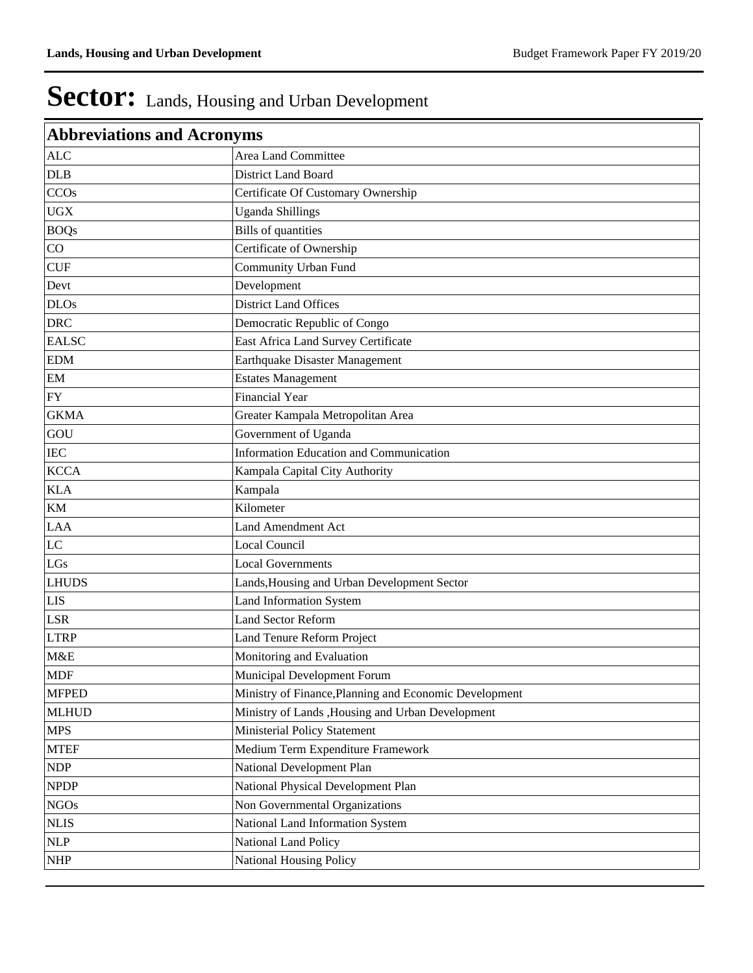| <b>Abbreviations and Acronyms</b>  |                                                        |  |  |  |  |
|------------------------------------|--------------------------------------------------------|--|--|--|--|
| <b>ALC</b>                         | Area Land Committee                                    |  |  |  |  |
| $D\mathsf{L}\mathsf{B}$            | District Land Board                                    |  |  |  |  |
| <b>CCOs</b>                        | Certificate Of Customary Ownership                     |  |  |  |  |
| <b>UGX</b>                         | <b>Uganda Shillings</b>                                |  |  |  |  |
| <b>BOQs</b>                        | <b>Bills</b> of quantities                             |  |  |  |  |
| CO                                 | Certificate of Ownership                               |  |  |  |  |
| CUF                                | Community Urban Fund                                   |  |  |  |  |
| Devt                               | Development                                            |  |  |  |  |
| <b>DLOs</b>                        | <b>District Land Offices</b>                           |  |  |  |  |
| <b>DRC</b>                         | Democratic Republic of Congo                           |  |  |  |  |
| <b>EALSC</b>                       | East Africa Land Survey Certificate                    |  |  |  |  |
| <b>EDM</b>                         | Earthquake Disaster Management                         |  |  |  |  |
| EM                                 | <b>Estates Management</b>                              |  |  |  |  |
| <b>FY</b>                          | <b>Financial Year</b>                                  |  |  |  |  |
| <b>GKMA</b>                        | Greater Kampala Metropolitan Area                      |  |  |  |  |
| GOU                                | Government of Uganda                                   |  |  |  |  |
| $\rm{IEC}$                         | <b>Information Education and Communication</b>         |  |  |  |  |
| <b>KCCA</b>                        | Kampala Capital City Authority                         |  |  |  |  |
| <b>KLA</b>                         | Kampala                                                |  |  |  |  |
| KM                                 | Kilometer                                              |  |  |  |  |
| <b>LAA</b>                         | <b>Land Amendment Act</b>                              |  |  |  |  |
| LC                                 | <b>Local Council</b>                                   |  |  |  |  |
| LGs                                | <b>Local Governments</b>                               |  |  |  |  |
| <b>LHUDS</b>                       | Lands, Housing and Urban Development Sector            |  |  |  |  |
| <b>LIS</b>                         | <b>Land Information System</b>                         |  |  |  |  |
| <b>LSR</b>                         | <b>Land Sector Reform</b>                              |  |  |  |  |
| <b>LTRP</b>                        | Land Tenure Reform Project                             |  |  |  |  |
| M&E                                | Monitoring and Evaluation                              |  |  |  |  |
| <b>MDF</b>                         | Municipal Development Forum                            |  |  |  |  |
| <b>MFPED</b>                       | Ministry of Finance, Planning and Economic Development |  |  |  |  |
| <b>MLHUD</b>                       | Ministry of Lands , Housing and Urban Development      |  |  |  |  |
| <b>MPS</b>                         | Ministerial Policy Statement                           |  |  |  |  |
| <b>MTEF</b>                        | Medium Term Expenditure Framework                      |  |  |  |  |
| <b>NDP</b>                         | National Development Plan                              |  |  |  |  |
| <b>NPDP</b>                        | National Physical Development Plan                     |  |  |  |  |
| <b>NGOs</b>                        | Non Governmental Organizations                         |  |  |  |  |
| <b>NLIS</b>                        | National Land Information System                       |  |  |  |  |
| <b>NLP</b>                         | National Land Policy                                   |  |  |  |  |
| $\ensuremath{\mathsf{NHP}}\xspace$ | <b>National Housing Policy</b>                         |  |  |  |  |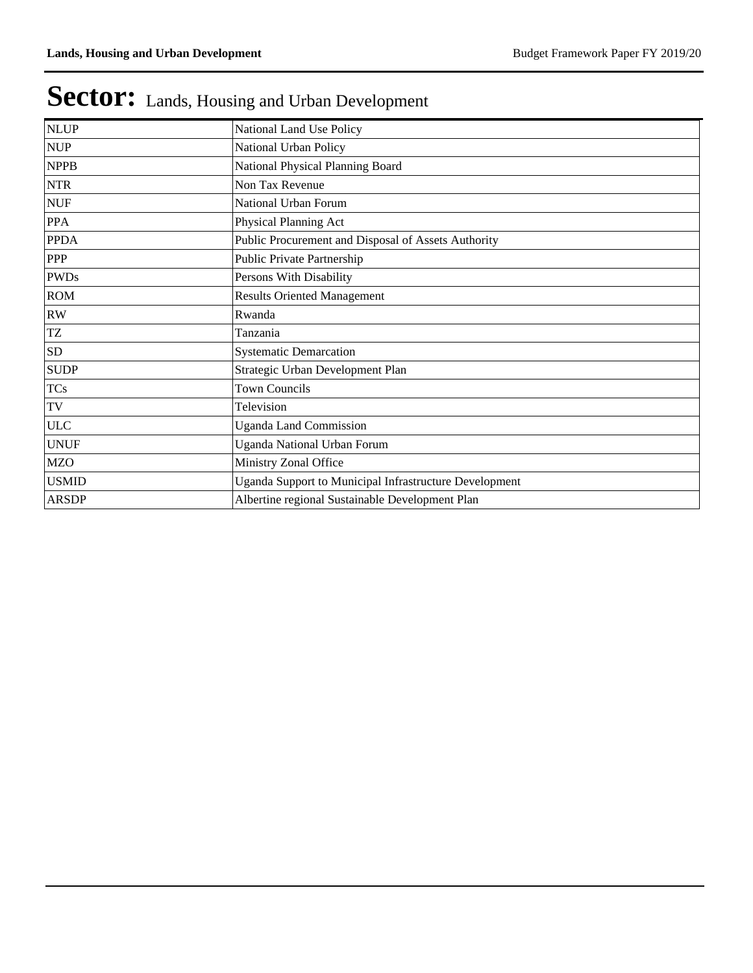| <b>NLUP</b>  | National Land Use Policy                               |
|--------------|--------------------------------------------------------|
| <b>NUP</b>   | National Urban Policy                                  |
| <b>NPPB</b>  | National Physical Planning Board                       |
| <b>NTR</b>   | Non Tax Revenue                                        |
| <b>NUF</b>   | National Urban Forum                                   |
| <b>PPA</b>   | Physical Planning Act                                  |
| <b>PPDA</b>  | Public Procurement and Disposal of Assets Authority    |
| <b>PPP</b>   | Public Private Partnership                             |
| <b>PWDs</b>  | Persons With Disability                                |
| <b>ROM</b>   | <b>Results Oriented Management</b>                     |
| RW           | Rwanda                                                 |
| TZ           | Tanzania                                               |
| <b>SD</b>    | <b>Systematic Demarcation</b>                          |
| <b>SUDP</b>  | Strategic Urban Development Plan                       |
| <b>TCs</b>   | <b>Town Councils</b>                                   |
| TV           | Television                                             |
| <b>ULC</b>   | <b>Uganda Land Commission</b>                          |
| <b>UNUF</b>  | Uganda National Urban Forum                            |
| <b>MZO</b>   | Ministry Zonal Office                                  |
| <b>USMID</b> | Uganda Support to Municipal Infrastructure Development |
| <b>ARSDP</b> | Albertine regional Sustainable Development Plan        |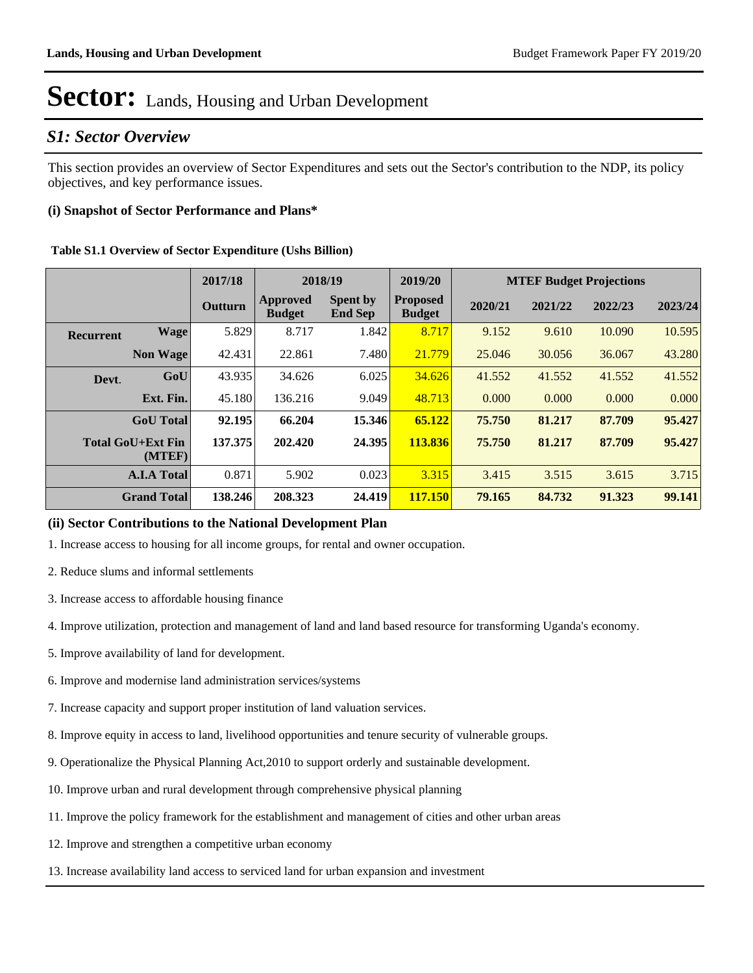### *S1: Sector Overview*

This section provides an overview of Sector Expenditures and sets out the Sector's contribution to the NDP, its policy objectives, and key performance issues.

#### **(i) Snapshot of Sector Performance and Plans\***

|                  |                                    | 2017/18 | 2018/19                   |                                   | 2019/20                          | <b>MTEF Budget Projections</b> |         |         |         |
|------------------|------------------------------------|---------|---------------------------|-----------------------------------|----------------------------------|--------------------------------|---------|---------|---------|
|                  |                                    | Outturn | Approved<br><b>Budget</b> | <b>Spent by</b><br><b>End Sep</b> | <b>Proposed</b><br><b>Budget</b> | 2020/21                        | 2021/22 | 2022/23 | 2023/24 |
| <b>Recurrent</b> | Wage                               | 5.829   | 8.717                     | 1.842                             | 8.717                            | 9.152                          | 9.610   | 10.090  | 10.595  |
|                  | <b>Non Wage</b>                    | 42.431  | 22.861                    | 7.480                             | 21.779                           | 25.046                         | 30.056  | 36.067  | 43.280  |
| Devt.            | GoU                                | 43.935  | 34.626                    | 6.025                             | 34.626                           | 41.552                         | 41.552  | 41.552  | 41.552  |
|                  | Ext. Fin.                          | 45.180  | 136.216                   | 9.049                             | 48.713                           | 0.000                          | 0.000   | 0.000   | 0.000   |
|                  | <b>GoU</b> Total                   | 92.195  | 66.204                    | 15.346                            | 65.122                           | 75.750                         | 81.217  | 87.709  | 95.427  |
|                  | <b>Total GoU+Ext Fin</b><br>(MTEF) | 137.375 | 202.420                   | 24.395                            | 113.836                          | 75.750                         | 81.217  | 87.709  | 95.427  |
|                  | <b>A.I.A Total</b>                 | 0.871   | 5.902                     | 0.023                             | 3.315                            | 3.415                          | 3.515   | 3.615   | 3.715   |
|                  | <b>Grand Total</b>                 | 138.246 | 208.323                   | 24.419                            | <b>117.150</b>                   | 79.165                         | 84.732  | 91.323  | 99.141  |

#### **(ii) Sector Contributions to the National Development Plan**

1. Increase access to housing for all income groups, for rental and owner occupation.

- 2. Reduce slums and informal settlements
- 3. Increase access to affordable housing finance
- 4. Improve utilization, protection and management of land and land based resource for transforming Uganda's economy.
- 5. Improve availability of land for development.
- 6. Improve and modernise land administration services/systems
- 7. Increase capacity and support proper institution of land valuation services.
- 8. Improve equity in access to land, livelihood opportunities and tenure security of vulnerable groups.
- 9. Operationalize the Physical Planning Act,2010 to support orderly and sustainable development.
- 10. Improve urban and rural development through comprehensive physical planning
- 11. Improve the policy framework for the establishment and management of cities and other urban areas
- 12. Improve and strengthen a competitive urban economy
- 13. Increase availability land access to serviced land for urban expansion and investment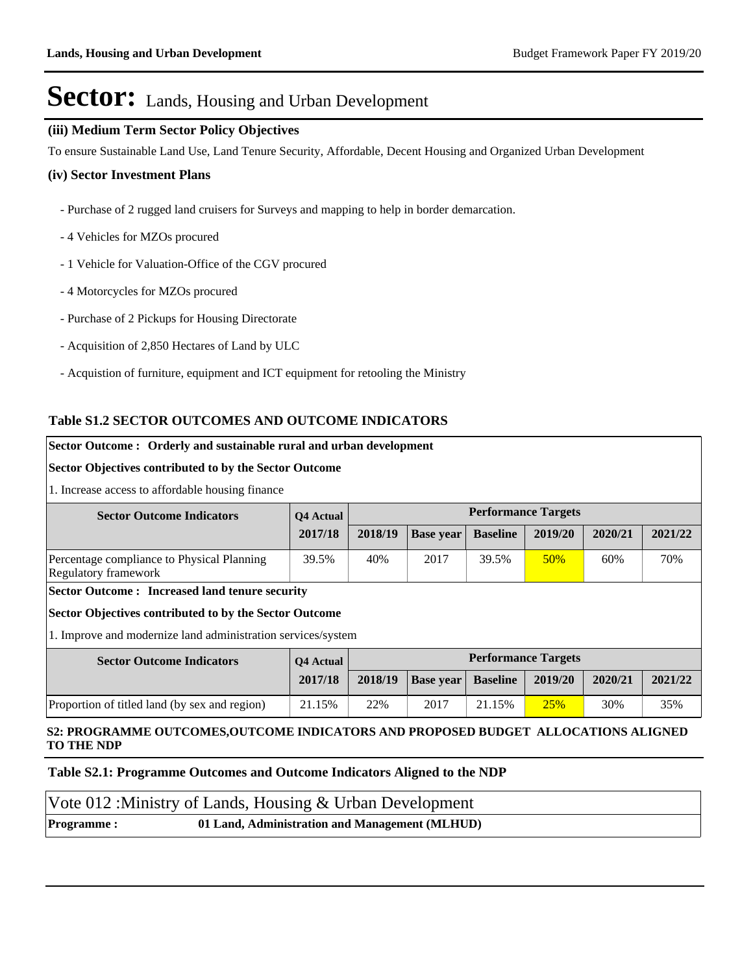#### **(iii) Medium Term Sector Policy Objectives**

To ensure Sustainable Land Use, Land Tenure Security, Affordable, Decent Housing and Organized Urban Development

#### **(iv) Sector Investment Plans**

- Purchase of 2 rugged land cruisers for Surveys and mapping to help in border demarcation.
- 4 Vehicles for MZOs procured
- 1 Vehicle for Valuation-Office of the CGV procured
- 4 Motorcycles for MZOs procured
- Purchase of 2 Pickups for Housing Directorate
- Acquisition of 2,850 Hectares of Land by ULC
- Acquistion of furniture, equipment and ICT equipment for retooling the Ministry

#### **Table S1.2 SECTOR OUTCOMES AND OUTCOME INDICATORS**

#### **Sector Outcome : Orderly and sustainable rural and urban development**

#### **Sector Objectives contributed to by the Sector Outcome**

1. Increase access to affordable housing finance

| <b>Sector Outcome Indicators</b>                                          | <b>O4</b> Actual | <b>Performance Targets</b> |                  |                 |         |         |         |
|---------------------------------------------------------------------------|------------------|----------------------------|------------------|-----------------|---------|---------|---------|
|                                                                           | 2017/18          | 2018/19                    | <b>Base year</b> | <b>Baseline</b> | 2019/20 | 2020/21 | 2021/22 |
| Percentage compliance to Physical Planning<br><b>Regulatory framework</b> | 39.5%            | 40%                        | 2017             | 39.5%           | 50%     | 60%     | 70%     |
| <b>Sector Outcome: Increased land tenure security</b>                     |                  |                            |                  |                 |         |         |         |
| Sector Objectives contributed to by the Sector Outcome                    |                  |                            |                  |                 |         |         |         |
| 1. Improve and modernize land administration services/system              |                  |                            |                  |                 |         |         |         |
| <b>Sector Outcome Indicators</b>                                          | <b>O4</b> Actual | <b>Performance Targets</b> |                  |                 |         |         |         |
|                                                                           | 2017/18          | 2018/19                    | <b>Base year</b> | <b>Baseline</b> | 2019/20 | 2020/21 | 2021/22 |
| Proportion of titled land (by sex and region)                             | 21.15%           | 22%                        | 2017             | 21.15%          | 25%     | 30%     | 35%     |

#### **S2: PROGRAMME OUTCOMES,OUTCOME INDICATORS AND PROPOSED BUDGET ALLOCATIONS ALIGNED TO THE NDP**

#### **Table S2.1: Programme Outcomes and Outcome Indicators Aligned to the NDP**

|                    | Vote 012 : Ministry of Lands, Housing & Urban Development |  |
|--------------------|-----------------------------------------------------------|--|
| <b>Programme :</b> | 01 Land, Administration and Management (MLHUD)            |  |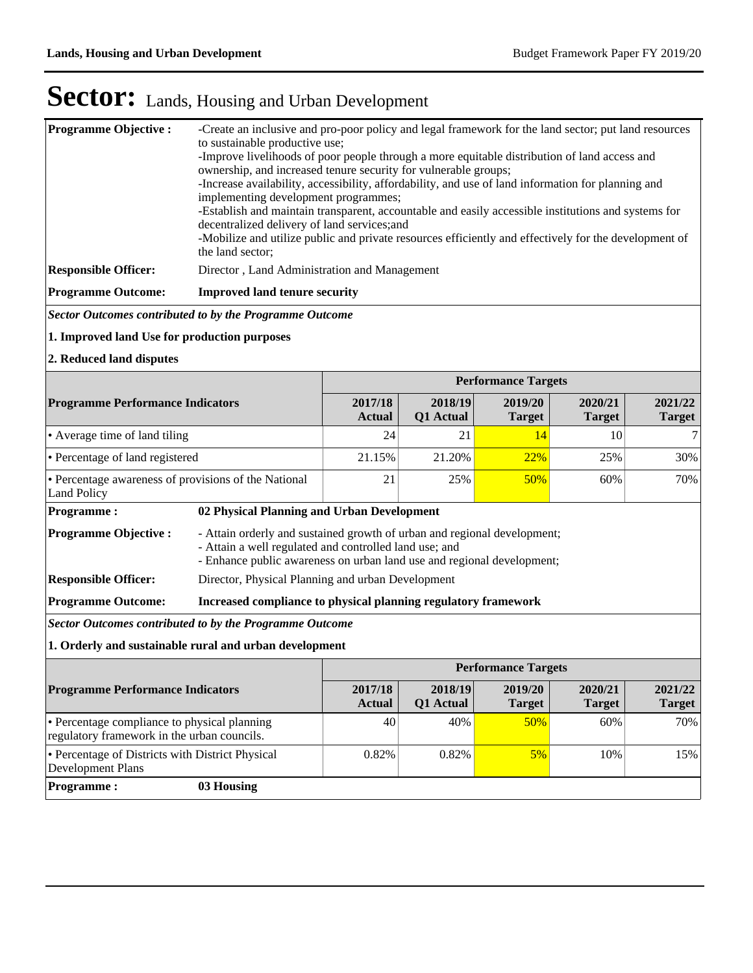| <b>Programme Objective:</b> | -Create an inclusive and pro-poor policy and legal framework for the land sector; put land resources<br>to sustainable productive use;<br>-Improve livelihoods of poor people through a more equitable distribution of land access and<br>ownership, and increased tenure security for vulnerable groups;<br>-Increase availability, accessibility, affordability, and use of land information for planning and<br>implementing development programmes;<br>-Establish and maintain transparent, accountable and easily accessible institutions and systems for<br>decentralized delivery of land services; and<br>-Mobilize and utilize public and private resources efficiently and effectively for the development of<br>the land sector; |
|-----------------------------|---------------------------------------------------------------------------------------------------------------------------------------------------------------------------------------------------------------------------------------------------------------------------------------------------------------------------------------------------------------------------------------------------------------------------------------------------------------------------------------------------------------------------------------------------------------------------------------------------------------------------------------------------------------------------------------------------------------------------------------------|
| <b>Responsible Officer:</b> | Director, Land Administration and Management                                                                                                                                                                                                                                                                                                                                                                                                                                                                                                                                                                                                                                                                                                |
| <b>Programme Outcome:</b>   | <b>Improved land tenure security</b>                                                                                                                                                                                                                                                                                                                                                                                                                                                                                                                                                                                                                                                                                                        |

*Sector Outcomes contributed to by the Programme Outcome*

#### **1. Improved land Use for production purposes**

**2. Reduced land disputes**

|                                                                     |                                                                |                                                                                                                                                                                                              |                      | <b>Performance Targets</b> |                          |                          |  |  |
|---------------------------------------------------------------------|----------------------------------------------------------------|--------------------------------------------------------------------------------------------------------------------------------------------------------------------------------------------------------------|----------------------|----------------------------|--------------------------|--------------------------|--|--|
| <b>Programme Performance Indicators</b>                             |                                                                | 2017/18<br><b>Actual</b>                                                                                                                                                                                     | 2018/19<br>Q1 Actual | 2019/20<br><b>Target</b>   | 2020/21<br><b>Target</b> | 2021/22<br><b>Target</b> |  |  |
| • Average time of land tiling                                       |                                                                | 24                                                                                                                                                                                                           | 21                   | 14                         | 10                       | 7                        |  |  |
| • Percentage of land registered                                     |                                                                | 21.15%                                                                                                                                                                                                       | 21.20%               | <b>22%</b>                 | 25%                      | 30%                      |  |  |
| • Percentage awareness of provisions of the National<br>Land Policy |                                                                | 21                                                                                                                                                                                                           | 25%                  | 50%                        | 60%                      | 70%                      |  |  |
| <b>Programme:</b>                                                   | 02 Physical Planning and Urban Development                     |                                                                                                                                                                                                              |                      |                            |                          |                          |  |  |
| <b>Programme Objective:</b>                                         |                                                                | - Attain orderly and sustained growth of urban and regional development;<br>- Attain a well regulated and controlled land use; and<br>- Enhance public awareness on urban land use and regional development; |                      |                            |                          |                          |  |  |
| <b>Responsible Officer:</b>                                         |                                                                | Director, Physical Planning and urban Development                                                                                                                                                            |                      |                            |                          |                          |  |  |
| <b>Programme Outcome:</b>                                           | Increased compliance to physical planning regulatory framework |                                                                                                                                                                                                              |                      |                            |                          |                          |  |  |
| Sector Outcomes contributed to by the Programme Outcome             |                                                                |                                                                                                                                                                                                              |                      |                            |                          |                          |  |  |
| 1. Orderly and sustainable rural and urban development              |                                                                |                                                                                                                                                                                                              |                      |                            |                          |                          |  |  |

|                                                                                             | <b>Performance Targets</b> |                      |                          |                          |                   |  |
|---------------------------------------------------------------------------------------------|----------------------------|----------------------|--------------------------|--------------------------|-------------------|--|
| <b>Programme Performance Indicators</b>                                                     | 2017/18<br><b>Actual</b>   | 2018/19<br>Q1 Actual | 2019/20<br><b>Target</b> | 2020/21<br><b>Target</b> | 2021/22<br>Target |  |
| • Percentage compliance to physical planning<br>regulatory framework in the urban councils. | 40                         | 40%                  | 50%                      | 60%                      | 70%               |  |
| • Percentage of Districts with District Physical<br>Development Plans                       | 0.82%                      | $0.82\%$             | $5\%$                    | 10%                      | 15%               |  |
| <b>Programme :</b><br>03 Housing                                                            |                            |                      |                          |                          |                   |  |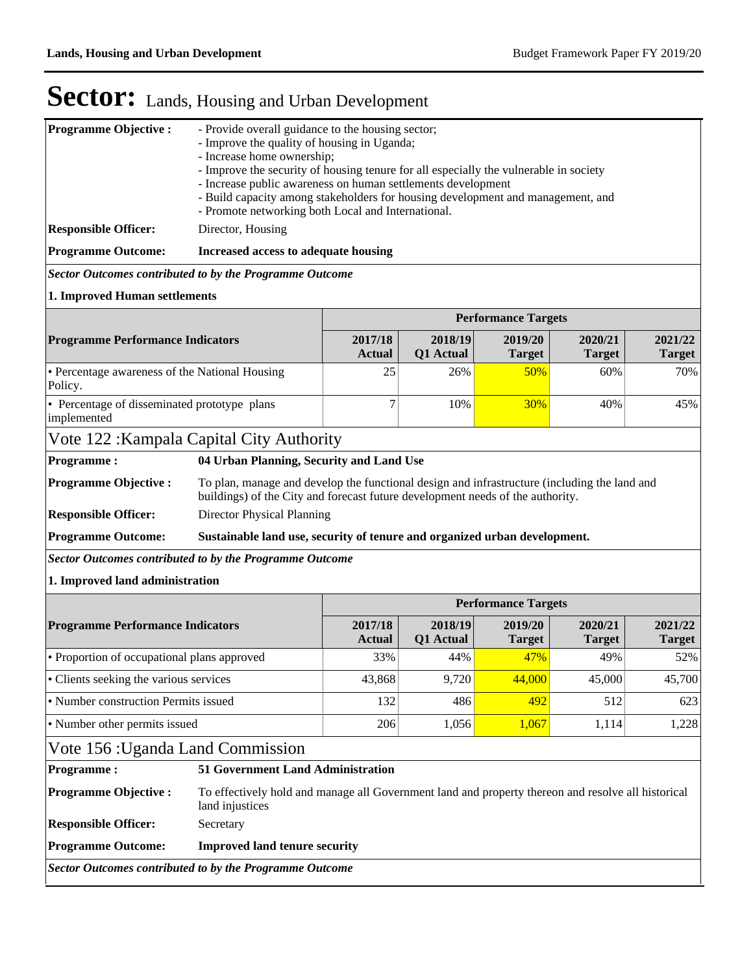| - Increase home ownership;<br>- Improve the security of housing tenure for all especially the vulnerable in society<br>- Increase public awareness on human settlements development<br>- Build capacity among stakeholders for housing development and management, and<br>- Promote networking both Local and International.<br>Director, Housing<br><b>Responsible Officer:</b> |                                                                                                    |  |  |  |  |  |  |
|----------------------------------------------------------------------------------------------------------------------------------------------------------------------------------------------------------------------------------------------------------------------------------------------------------------------------------------------------------------------------------|----------------------------------------------------------------------------------------------------|--|--|--|--|--|--|
|                                                                                                                                                                                                                                                                                                                                                                                  |                                                                                                    |  |  |  |  |  |  |
|                                                                                                                                                                                                                                                                                                                                                                                  |                                                                                                    |  |  |  |  |  |  |
| <b>Programme Outcome:</b><br>Increased access to adequate housing                                                                                                                                                                                                                                                                                                                |                                                                                                    |  |  |  |  |  |  |
| Sector Outcomes contributed to by the Programme Outcome                                                                                                                                                                                                                                                                                                                          |                                                                                                    |  |  |  |  |  |  |
| 1. Improved Human settlements                                                                                                                                                                                                                                                                                                                                                    |                                                                                                    |  |  |  |  |  |  |
| <b>Performance Targets</b>                                                                                                                                                                                                                                                                                                                                                       |                                                                                                    |  |  |  |  |  |  |
| 2018/19<br>2017/18<br>2019/20<br>2020/21<br><b>Programme Performance Indicators</b><br>Q1 Actual<br><b>Target</b><br><b>Target</b><br><b>Actual</b>                                                                                                                                                                                                                              | 2021/22<br><b>Target</b>                                                                           |  |  |  |  |  |  |
| • Percentage awareness of the National Housing<br>25<br>50%<br>26%<br>60%<br>Policy.                                                                                                                                                                                                                                                                                             | 70%                                                                                                |  |  |  |  |  |  |
| • Percentage of disseminated prototype plans<br>7<br>10%<br>30%<br>40%<br>implemented                                                                                                                                                                                                                                                                                            | 45%                                                                                                |  |  |  |  |  |  |
| Vote 122: Kampala Capital City Authority                                                                                                                                                                                                                                                                                                                                         |                                                                                                    |  |  |  |  |  |  |
| 04 Urban Planning, Security and Land Use<br><b>Programme:</b>                                                                                                                                                                                                                                                                                                                    |                                                                                                    |  |  |  |  |  |  |
| <b>Programme Objective:</b><br>To plan, manage and develop the functional design and infrastructure (including the land and<br>buildings) of the City and forecast future development needs of the authority.                                                                                                                                                                    |                                                                                                    |  |  |  |  |  |  |
| Director Physical Planning<br><b>Responsible Officer:</b>                                                                                                                                                                                                                                                                                                                        |                                                                                                    |  |  |  |  |  |  |
| <b>Programme Outcome:</b><br>Sustainable land use, security of tenure and organized urban development.                                                                                                                                                                                                                                                                           |                                                                                                    |  |  |  |  |  |  |
| <b>Sector Outcomes contributed to by the Programme Outcome</b>                                                                                                                                                                                                                                                                                                                   |                                                                                                    |  |  |  |  |  |  |
| 1. Improved land administration                                                                                                                                                                                                                                                                                                                                                  |                                                                                                    |  |  |  |  |  |  |
| <b>Performance Targets</b>                                                                                                                                                                                                                                                                                                                                                       |                                                                                                    |  |  |  |  |  |  |
| <b>Programme Performance Indicators</b><br>2017/18<br>2018/19<br>2019/20<br>2020/21<br>Q1 Actual<br><b>Actual</b><br><b>Target</b><br><b>Target</b>                                                                                                                                                                                                                              | 2021/22<br><b>Target</b>                                                                           |  |  |  |  |  |  |
| • Proportion of occupational plans approved<br>44%<br>33%<br>47%<br>49%                                                                                                                                                                                                                                                                                                          | 52%                                                                                                |  |  |  |  |  |  |
| 9,720<br>• Clients seeking the various services<br>43,868<br>44,000<br>45,000                                                                                                                                                                                                                                                                                                    | 45,700                                                                                             |  |  |  |  |  |  |
| • Number construction Permits issued<br>132<br>486<br>492<br>512                                                                                                                                                                                                                                                                                                                 | 623                                                                                                |  |  |  |  |  |  |
| • Number other permits issued<br>206<br>1,056<br>1,067<br>1,114                                                                                                                                                                                                                                                                                                                  | 1,228                                                                                              |  |  |  |  |  |  |
| Vote 156 : Uganda Land Commission                                                                                                                                                                                                                                                                                                                                                |                                                                                                    |  |  |  |  |  |  |
| <b>51 Government Land Administration</b><br><b>Programme:</b>                                                                                                                                                                                                                                                                                                                    |                                                                                                    |  |  |  |  |  |  |
| <b>Programme Objective:</b><br>land injustices                                                                                                                                                                                                                                                                                                                                   | To effectively hold and manage all Government land and property thereon and resolve all historical |  |  |  |  |  |  |
| <b>Responsible Officer:</b><br>Secretary                                                                                                                                                                                                                                                                                                                                         |                                                                                                    |  |  |  |  |  |  |
| <b>Programme Outcome:</b><br><b>Improved land tenure security</b>                                                                                                                                                                                                                                                                                                                |                                                                                                    |  |  |  |  |  |  |
| <b>Sector Outcomes contributed to by the Programme Outcome</b>                                                                                                                                                                                                                                                                                                                   |                                                                                                    |  |  |  |  |  |  |